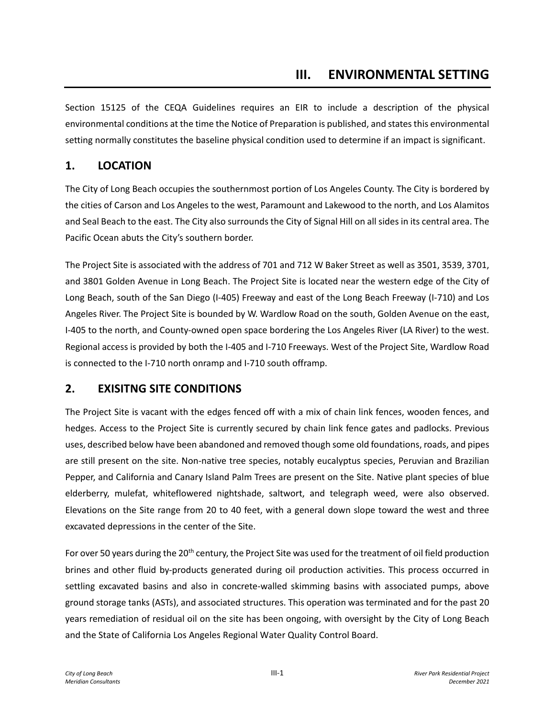Section 15125 of the CEQA Guidelines requires an EIR to include a description of the physical environmental conditions at the time the Notice of Preparation is published, and states this environmental setting normally constitutes the baseline physical condition used to determine if an impact is significant.

#### **1. LOCATION**

The City of Long Beach occupies the southernmost portion of Los Angeles County. The City is bordered by the cities of Carson and Los Angeles to the west, Paramount and Lakewood to the north, and Los Alamitos and Seal Beach to the east. The City also surrounds the City of Signal Hill on all sides in its central area. The Pacific Ocean abuts the City's southern border.

The Project Site is associated with the address of 701 and 712 W Baker Street as well as 3501, 3539, 3701, and 3801 Golden Avenue in Long Beach. The Project Site is located near the western edge of the City of Long Beach, south of the San Diego (I-405) Freeway and east of the Long Beach Freeway (I-710) and Los Angeles River. The Project Site is bounded by W. Wardlow Road on the south, Golden Avenue on the east, I-405 to the north, and County-owned open space bordering the Los Angeles River (LA River) to the west. Regional access is provided by both the I-405 and I-710 Freeways. West of the Project Site, Wardlow Road is connected to the I-710 north onramp and I-710 south offramp.

#### **2. EXISITNG SITE CONDITIONS**

The Project Site is vacant with the edges fenced off with a mix of chain link fences, wooden fences, and hedges. Access to the Project Site is currently secured by chain link fence gates and padlocks. Previous uses, described below have been abandoned and removed though some old foundations, roads, and pipes are still present on the site. Non-native tree species, notably eucalyptus species, Peruvian and Brazilian Pepper, and California and Canary Island Palm Trees are present on the Site. Native plant species of blue elderberry, mulefat, whiteflowered nightshade, saltwort, and telegraph weed, were also observed. Elevations on the Site range from 20 to 40 feet, with a general down slope toward the west and three excavated depressions in the center of the Site.

For over 50 years during the 20<sup>th</sup> century, the Project Site was used for the treatment of oil field production brines and other fluid by-products generated during oil production activities. This process occurred in settling excavated basins and also in concrete-walled skimming basins with associated pumps, above ground storage tanks (ASTs), and associated structures. This operation was terminated and for the past 20 years remediation of residual oil on the site has been ongoing, with oversight by the City of Long Beach and the State of California Los Angeles Regional Water Quality Control Board.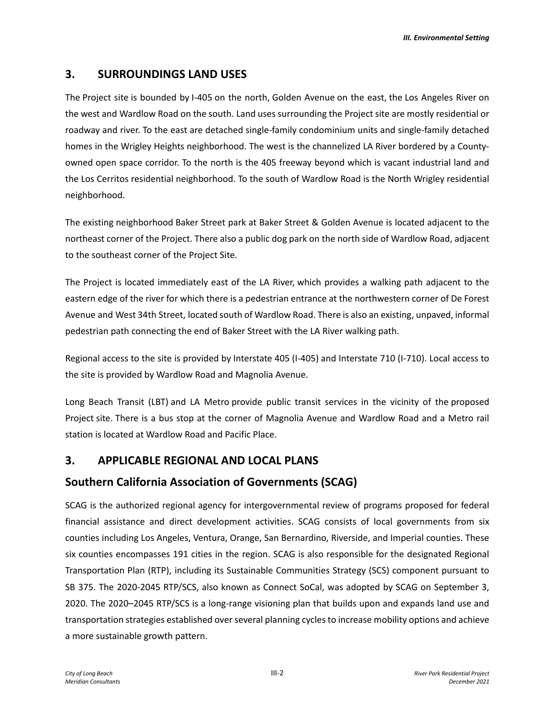# **3. SURROUNDINGS LAND USES**

The Project site is bounded by I-405 on the north, Golden Avenue on the east, the Los Angeles River on the west and Wardlow Road on the south. Land uses surrounding the Project site are mostly residential or roadway and river. To the east are detached single-family condominium units and single-family detached homes in the Wrigley Heights neighborhood. The west is the channelized LA River bordered by a Countyowned open space corridor. To the north is the 405 freeway beyond which is vacant industrial land and the Los Cerritos residential neighborhood. To the south of Wardlow Road is the North Wrigley residential neighborhood.

The existing neighborhood Baker Street park at Baker Street & Golden Avenue is located adjacent to the northeast corner of the Project. There also a public dog park on the north side of Wardlow Road, adjacent to the southeast corner of the Project Site.

The Project is located immediately east of the LA River, which provides a walking path adjacent to the eastern edge of the river for which there is a pedestrian entrance at the northwestern corner of De Forest Avenue and West 34th Street, located south of Wardlow Road. There is also an existing, unpaved, informal pedestrian path connecting the end of Baker Street with the LA River walking path.

Regional access to the site is provided by Interstate 405 (I-405) and Interstate 710 (I-710). Local access to the site is provided by Wardlow Road and Magnolia Avenue.

Long Beach Transit (LBT) and LA Metro provide public transit services in the vicinity of the proposed Project site. There is a bus stop at the corner of Magnolia Avenue and Wardlow Road and a Metro rail station is located at Wardlow Road and Pacific Place.

# **3. APPLICABLE REGIONAL AND LOCAL PLANS**

# **Southern California Association of Governments (SCAG)**

SCAG is the authorized regional agency for intergovernmental review of programs proposed for federal financial assistance and direct development activities. SCAG consists of local governments from six counties including Los Angeles, Ventura, Orange, San Bernardino, Riverside, and Imperial counties. These six counties encompasses 191 cities in the region. SCAG is also responsible for the designated Regional Transportation Plan (RTP), including its Sustainable Communities Strategy (SCS) component pursuant to SB 375. The 2020-2045 RTP/SCS, also known as Connect SoCal, was adopted by SCAG on September 3, 2020. The 2020–2045 RTP/SCS is a long-range visioning plan that builds upon and expands land use and transportation strategies established over several planning cycles to increase mobility options and achieve a more sustainable growth pattern.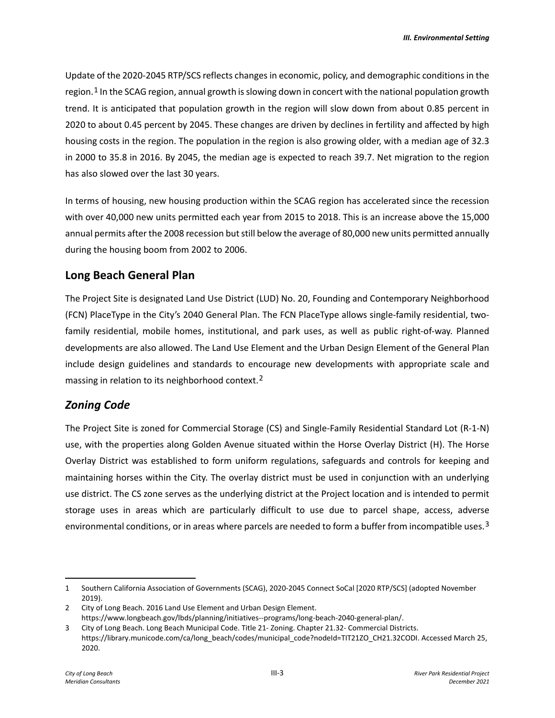Update of the 2020-2045 RTP/SCS reflects changes in economic, policy, and demographic conditions in the region.<sup>[1](#page-2-0)</sup> In the SCAG region, annual growth is slowing down in concert with the national population growth trend. It is anticipated that population growth in the region will slow down from about 0.85 percent in 2020 to about 0.45 percent by 2045. These changes are driven by declines in fertility and affected by high housing costs in the region. The population in the region is also growing older, with a median age of 32.3 in 2000 to 35.8 in 2016. By 2045, the median age is expected to reach 39.7. Net migration to the region has also slowed over the last 30 years.

In terms of housing, new housing production within the SCAG region has accelerated since the recession with over 40,000 new units permitted each year from 2015 to 2018. This is an increase above the 15,000 annual permits after the 2008 recession but still below the average of 80,000 new units permitted annually during the housing boom from 2002 to 2006.

# **Long Beach General Plan**

The Project Site is designated Land Use District (LUD) No. 20, Founding and Contemporary Neighborhood (FCN) PlaceType in the City's 2040 General Plan. The FCN PlaceType allows single-family residential, twofamily residential, mobile homes, institutional, and park uses, as well as public right-of-way. Planned developments are also allowed. The Land Use Element and the Urban Design Element of the General Plan include design guidelines and standards to encourage new developments with appropriate scale and massing in relation to its neighborhood context.<sup>[2](#page-2-1)</sup>

# *Zoning Code*

The Project Site is zoned for Commercial Storage (CS) and Single-Family Residential Standard Lot (R-1-N) use, with the properties along Golden Avenue situated within the Horse Overlay District (H). The Horse Overlay District was established to form uniform regulations, safeguards and controls for keeping and maintaining horses within the City. The overlay district must be used in conjunction with an underlying use district. The CS zone serves as the underlying district at the Project location and is intended to permit storage uses in areas which are particularly difficult to use due to parcel shape, access, adverse environmental conditions, or in areas where parcels are needed to form a buffer from incompatible uses.<sup>[3](#page-2-2)</sup>

<span id="page-2-0"></span><sup>1</sup> Southern California Association of Governments (SCAG), 2020-2045 Connect SoCal [2020 RTP/SCS] (adopted November 2019).

<span id="page-2-1"></span><sup>2</sup> City of Long Beach. 2016 Land Use Element and Urban Design Element. https://www.longbeach.gov/lbds/planning/initiatives--programs/long-beach-2040-general-plan/.

<span id="page-2-2"></span><sup>3</sup> City of Long Beach. Long Beach Municipal Code. Title 21- Zoning. Chapter 21.32- Commercial Districts. https://library.municode.com/ca/long\_beach/codes/municipal\_code?nodeId=TIT21ZO\_CH21.32CODI. Accessed March 25, 2020.